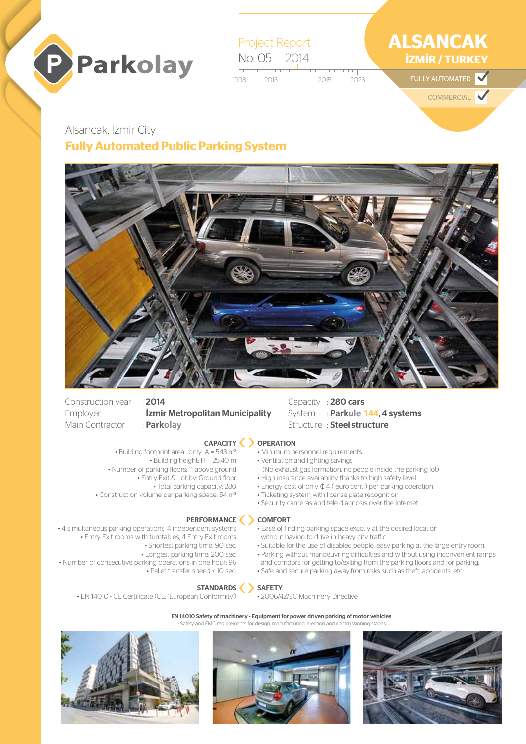

Project Report No: 05 2014

1998 2013 2015 2023  $2013$   $2015$   $2023$  FULLY AUTOMATED

# **ALSANCAK İZMİR / TURKEY**

 $\blacktriangledown$ 

**COMMERCIAL** 

# Alsancak, İzmir City **Fully Automated Public Parking System**



Construction year : 2014 Main Contractor : **Parkolay**

# Employer : **İzmir Metropolitan Municipality**

### CAPACITY

- Building footprint area: -only- A = 543 m2 • Building height: H = 25.40 m • Number of parking floors: 11 above ground • Entry-Exit & Lobby: Ground floor • Total parking capacity: 280
- Construction volume per parking space: 54 m3

### PERFORMANCE <>>> COMFORT

- 4 simultaneous parking operations, 4 independent systems • Entry-Exit rooms with turntables, 4 Entry-Exit rooms • Shortest parking time: 90 sec.
	- Longest parking time: 200 sec.
- Number of consecutive parking operations in one hour: 96 • Pallet transfer speed < 10 sec.
	- STANDARDS SAFETY
	- EN 14010 CE Certificate (CE: "European Conformity")

### EN 14010 Safety of machinery - Equipment for power driven parking of motor vehicles

Safety and EMC requirements for design, manufacturing, erection and containing







- Capacity : 280 cars System : **Parkule 144**, 4 systems Structure : Steel structure
- **OPERATION**
- Minimum personnel requirements
- Ventilation and lighting savings
- (No exhaust gas formation, no people inside the parking lot) • High insurance availability thanks to high safety level
- Energy cost of only ¢ 4 ( euro cent ) per parking operation
- Ticketing system with license plate recognition
- 
- 
- - Security cameras and tele diagnosis over the Internet

- Ease of finding parking space exactly at the desired location
- without having to drive in heavy city traffic.
- Suitable for the use of disabled people, easy parking at the large entry room.
- Parking without manoeuvring difficulties and without using inconvenient ramps
- and corridors for getting to/exiting from the parking floors and for parking. • Safe and secure parking away from risks such as theft, accidents, etc.
- 

• 2006/42/EC Machinery Directive